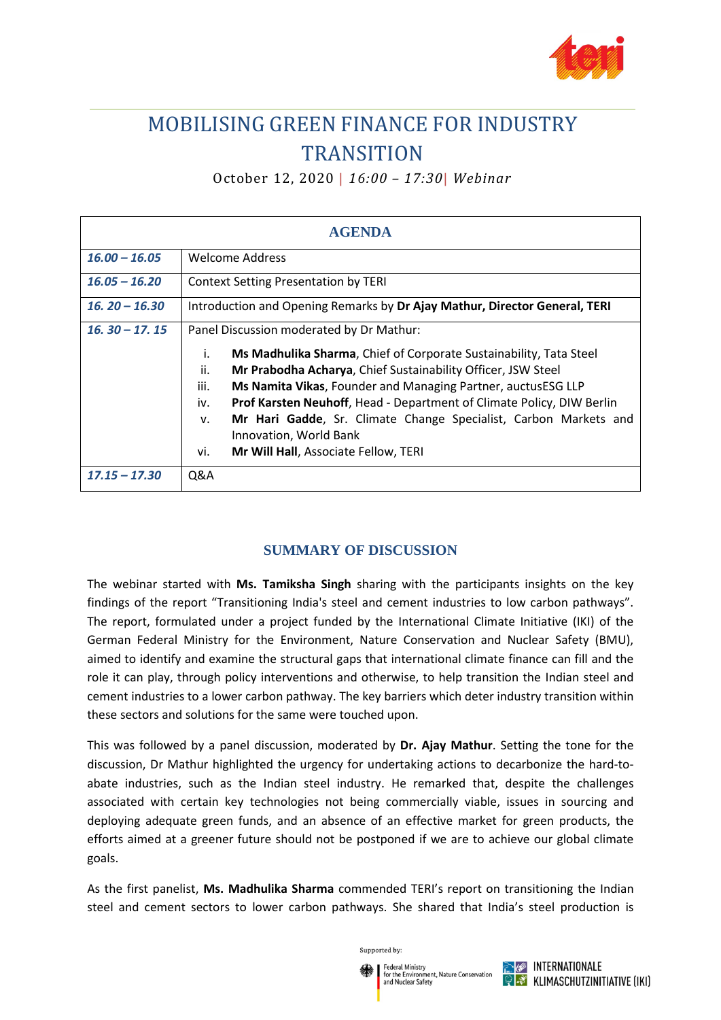

## MOBILISING GREEN FINANCE FOR INDUSTRY **TRANSITION**

October 12, 2020 | *16:00 – 17:30*| *Webinar*

| <b>AGENDA</b>   |                                                                                                                                                                                                                                                                                                                                                                                                                                                                                                        |
|-----------------|--------------------------------------------------------------------------------------------------------------------------------------------------------------------------------------------------------------------------------------------------------------------------------------------------------------------------------------------------------------------------------------------------------------------------------------------------------------------------------------------------------|
| $16.00 - 16.05$ | Welcome Address                                                                                                                                                                                                                                                                                                                                                                                                                                                                                        |
| $16.05 - 16.20$ | <b>Context Setting Presentation by TERI</b>                                                                                                                                                                                                                                                                                                                                                                                                                                                            |
| $16.20 - 16.30$ | Introduction and Opening Remarks by Dr Ajay Mathur, Director General, TERI                                                                                                                                                                                                                                                                                                                                                                                                                             |
| $16.30 - 17.15$ | Panel Discussion moderated by Dr Mathur:<br>Ms Madhulika Sharma, Chief of Corporate Sustainability, Tata Steel<br>İ.<br>ii.<br>Mr Prabodha Acharya, Chief Sustainability Officer, JSW Steel<br>iii.<br>Ms Namita Vikas, Founder and Managing Partner, auctusESG LLP<br>Prof Karsten Neuhoff, Head - Department of Climate Policy, DIW Berlin<br>iv.<br>Mr Hari Gadde, Sr. Climate Change Specialist, Carbon Markets and<br>v.<br>Innovation, World Bank<br>vi.<br>Mr Will Hall, Associate Fellow, TERI |
| $17.15 - 17.30$ | Q&A                                                                                                                                                                                                                                                                                                                                                                                                                                                                                                    |

## **SUMMARY OF DISCUSSION**

The webinar started with **Ms. Tamiksha Singh** sharing with the participants insights on the key findings of the report "Transitioning India's steel and cement industries to low carbon pathways". The report, formulated under a project funded by the International Climate Initiative (IKI) of the German Federal Ministry for the Environment, Nature Conservation and Nuclear Safety (BMU), aimed to identify and examine the structural gaps that international climate finance can fill and the role it can play, through policy interventions and otherwise, to help transition the Indian steel and cement industries to a lower carbon pathway. The key barriers which deter industry transition within these sectors and solutions for the same were touched upon.

This was followed by a panel discussion, moderated by **Dr. Ajay Mathur**. Setting the tone for the discussion, Dr Mathur highlighted the urgency for undertaking actions to decarbonize the hard-toabate industries, such as the Indian steel industry. He remarked that, despite the challenges associated with certain key technologies not being commercially viable, issues in sourcing and deploying adequate green funds, and an absence of an effective market for green products, the efforts aimed at a greener future should not be postponed if we are to achieve our global climate goals.

As the first panelist, **Ms. Madhulika Sharma** commended TERI's report on transitioning the Indian steel and cement sectors to lower carbon pathways. She shared that India's steel production is

Supported by:

n the Emmonine<br>nd Nuclear Safety

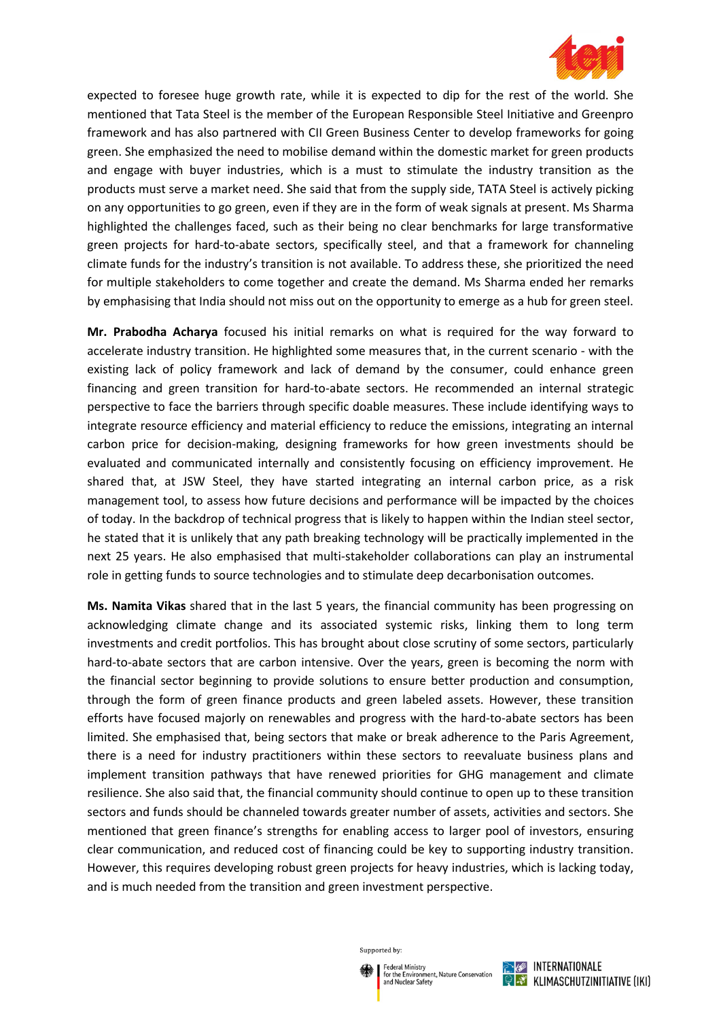

expected to foresee huge growth rate, while it is expected to dip for the rest of the world. She mentioned that Tata Steel is the member of the European Responsible Steel Initiative and Greenpro framework and has also partnered with CII Green Business Center to develop frameworks for going green. She emphasized the need to mobilise demand within the domestic market for green products and engage with buyer industries, which is a must to stimulate the industry transition as the products must serve a market need. She said that from the supply side, TATA Steel is actively picking on any opportunities to go green, even if they are in the form of weak signals at present. Ms Sharma highlighted the challenges faced, such as their being no clear benchmarks for large transformative green projects for hard-to-abate sectors, specifically steel, and that a framework for channeling climate funds for the industry's transition is not available. To address these, she prioritized the need for multiple stakeholders to come together and create the demand. Ms Sharma ended her remarks by emphasising that India should not miss out on the opportunity to emerge as a hub for green steel.

**Mr. Prabodha Acharya** focused his initial remarks on what is required for the way forward to accelerate industry transition. He highlighted some measures that, in the current scenario - with the existing lack of policy framework and lack of demand by the consumer, could enhance green financing and green transition for hard-to-abate sectors. He recommended an internal strategic perspective to face the barriers through specific doable measures. These include identifying ways to integrate resource efficiency and material efficiency to reduce the emissions, integrating an internal carbon price for decision-making, designing frameworks for how green investments should be evaluated and communicated internally and consistently focusing on efficiency improvement. He shared that, at JSW Steel, they have started integrating an internal carbon price, as a risk management tool, to assess how future decisions and performance will be impacted by the choices of today. In the backdrop of technical progress that is likely to happen within the Indian steel sector, he stated that it is unlikely that any path breaking technology will be practically implemented in the next 25 years. He also emphasised that multi-stakeholder collaborations can play an instrumental role in getting funds to source technologies and to stimulate deep decarbonisation outcomes.

**Ms. Namita Vikas** shared that in the last 5 years, the financial community has been progressing on acknowledging climate change and its associated systemic risks, linking them to long term investments and credit portfolios. This has brought about close scrutiny of some sectors, particularly hard-to-abate sectors that are carbon intensive. Over the years, green is becoming the norm with the financial sector beginning to provide solutions to ensure better production and consumption, through the form of green finance products and green labeled assets. However, these transition efforts have focused majorly on renewables and progress with the hard-to-abate sectors has been limited. She emphasised that, being sectors that make or break adherence to the Paris Agreement, there is a need for industry practitioners within these sectors to reevaluate business plans and implement transition pathways that have renewed priorities for GHG management and climate resilience. She also said that, the financial community should continue to open up to these transition sectors and funds should be channeled towards greater number of assets, activities and sectors. She mentioned that green finance's strengths for enabling access to larger pool of investors, ensuring clear communication, and reduced cost of financing could be key to supporting industry transition. However, this requires developing robust green projects for heavy industries, which is lacking today, and is much needed from the transition and green investment perspective.

Supported by:

n the Emmonine<br>nd Nuclear Safety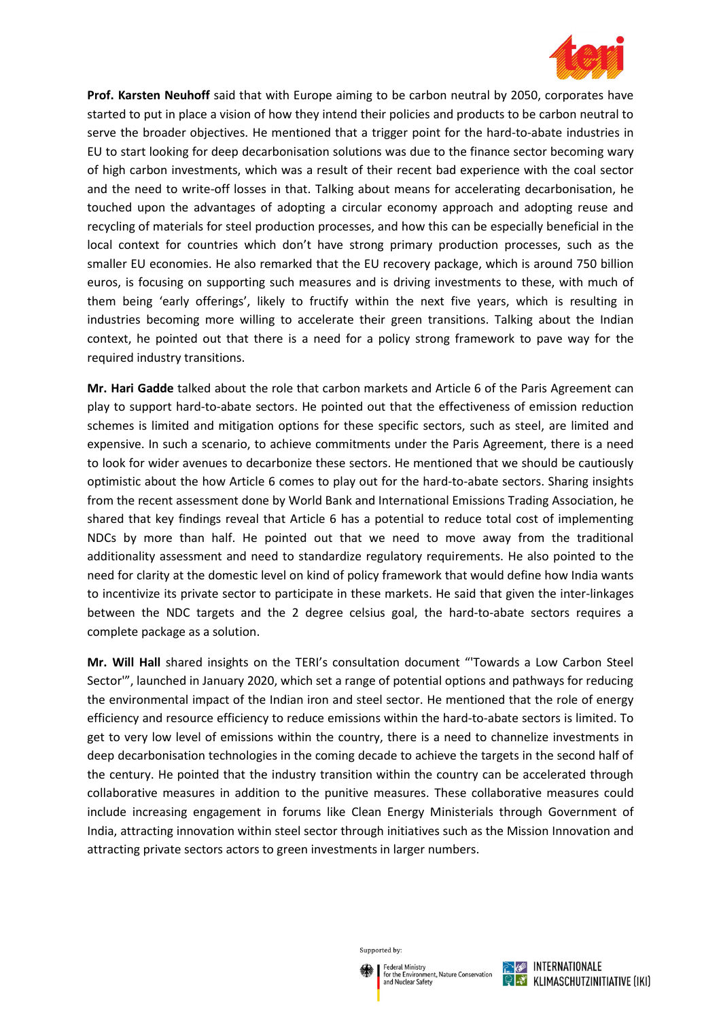

**Prof. Karsten Neuhoff** said that with Europe aiming to be carbon neutral by 2050, corporates have started to put in place a vision of how they intend their policies and products to be carbon neutral to serve the broader objectives. He mentioned that a trigger point for the hard-to-abate industries in EU to start looking for deep decarbonisation solutions was due to the finance sector becoming wary of high carbon investments, which was a result of their recent bad experience with the coal sector and the need to write-off losses in that. Talking about means for accelerating decarbonisation, he touched upon the advantages of adopting a circular economy approach and adopting reuse and recycling of materials for steel production processes, and how this can be especially beneficial in the local context for countries which don't have strong primary production processes, such as the smaller EU economies. He also remarked that the EU recovery package, which is around 750 billion euros, is focusing on supporting such measures and is driving investments to these, with much of them being 'early offerings', likely to fructify within the next five years, which is resulting in industries becoming more willing to accelerate their green transitions. Talking about the Indian context, he pointed out that there is a need for a policy strong framework to pave way for the required industry transitions.

**Mr. Hari Gadde** talked about the role that carbon markets and Article 6 of the Paris Agreement can play to support hard-to-abate sectors. He pointed out that the effectiveness of emission reduction schemes is limited and mitigation options for these specific sectors, such as steel, are limited and expensive. In such a scenario, to achieve commitments under the Paris Agreement, there is a need to look for wider avenues to decarbonize these sectors. He mentioned that we should be cautiously optimistic about the how Article 6 comes to play out for the hard-to-abate sectors. Sharing insights from the recent assessment done by World Bank and International Emissions Trading Association, he shared that key findings reveal that Article 6 has a potential to reduce total cost of implementing NDCs by more than half. He pointed out that we need to move away from the traditional additionality assessment and need to standardize regulatory requirements. He also pointed to the need for clarity at the domestic level on kind of policy framework that would define how India wants to incentivize its private sector to participate in these markets. He said that given the inter-linkages between the NDC targets and the 2 degree celsius goal, the hard-to-abate sectors requires a complete package as a solution.

**Mr. Will Hall** shared insights on the TERI's consultation document "'Towards a Low Carbon Steel Sector'", launched in January 2020, which set a range of potential options and pathways for reducing the environmental impact of the Indian iron and steel sector. He mentioned that the role of energy efficiency and resource efficiency to reduce emissions within the hard-to-abate sectors is limited. To get to very low level of emissions within the country, there is a need to channelize investments in deep decarbonisation technologies in the coming decade to achieve the targets in the second half of the century. He pointed that the industry transition within the country can be accelerated through collaborative measures in addition to the punitive measures. These collaborative measures could include increasing engagement in forums like Clean Energy Ministerials through Government of India, attracting innovation within steel sector through initiatives such as the Mission Innovation and attracting private sectors actors to green investments in larger numbers.

Supported by:

n the Emmonine<br>nd Nuclear Safety